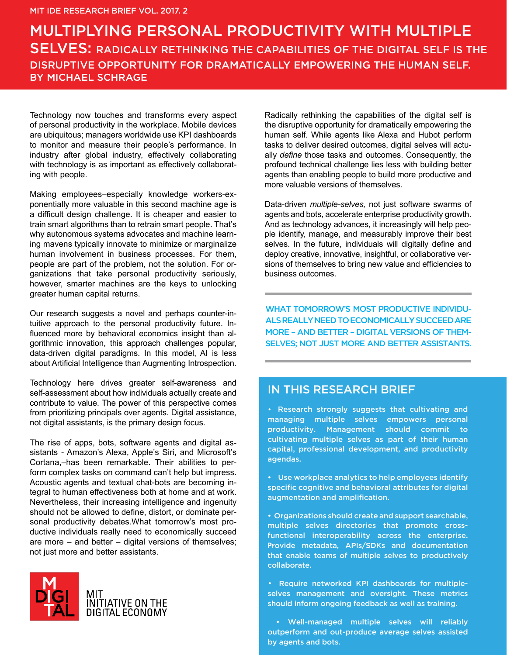# BY MICHAEL SCHRAGE MULTIPLYING PERSONAL PRODUCTIVITY WITH MULTIPLE SELVES: RADICALLY RETHINKING THE CAPABILITIES OF THE DIGITAL SELF IS THE DISRUPTIVE OPPORTUNITY FOR DRAMATICALLY EMPOWERING THE HUMAN SELF.

Technology now touches and transforms every aspect of personal productivity in the workplace. Mobile devices are ubiquitous; managers worldwide use KPI dashboards to monitor and measure their people's performance. In industry after global industry, effectively collaborating with technology is as important as effectively collaborating with people.

Making employees–especially knowledge workers-exponentially more valuable in this second machine age is a difficult design challenge. It is cheaper and easier to train smart algorithms than to retrain smart people. That's why autonomous systems advocates and machine learning mavens typically innovate to minimize or marginalize human involvement in business processes. For them, people are part of the problem, not the solution. For organizations that take personal productivity seriously, however, smarter machines are the keys to unlocking greater human capital returns.

Our research suggests a novel and perhaps counter-intuitive approach to the personal productivity future. Influenced more by behavioral economics insight than algorithmic innovation, this approach challenges popular, data-driven digital paradigms. In this model, AI is less about Artificial Intelligence than Augmenting Introspection.

Technology here drives greater self-awareness and self-assessment about how individuals actually create and contribute to value. The power of this perspective comes from prioritizing principals over agents. Digital assistance, not digital assistants, is the primary design focus.

The rise of apps, bots, software agents and digital assistants - Amazon's Alexa, Apple's Siri, and Microsoft's Cortana,–has been remarkable. Their abilities to perform complex tasks on command can't help but impress. Acoustic agents and textual chat-bots are becoming integral to human effectiveness both at home and at work. Nevertheless, their increasing intelligence and ingenuity should not be allowed to define, distort, or dominate personal productivity debates.What tomorrow's most productive individuals really need to economically succeed are more – and better – digital versions of themselves; not just more and better assistants.



Radically rethinking the capabilities of the digital self is the disruptive opportunity for dramatically empowering the human self. While agents like Alexa and Hubot perform tasks to deliver desired outcomes, digital selves will actually *define* those tasks and outcomes. Consequently, the profound technical challenge lies less with building better agents than enabling people to build more productive and more valuable versions of themselves.

Data-driven *multiple-selves,* not just software swarms of agents and bots, accelerate enterprise productivity growth. And as technology advances, it increasingly will help people identify, manage, and measurably improve their best selves. In the future, individuals will digitally define and deploy creative, innovative, insightful, or collaborative versions of themselves to bring new value and efficiencies to business outcomes.

WHAT TOMORROW'S MOST PRODUCTIVE INDIVIDU-ALS REALLY NEED TO ECONOMICALLY SUCCEED ARE MORE – AND BETTER – DIGITAL VERSIONS OF THEM-SELVES; NOT JUST MORE AND BETTER ASSISTANTS.

## IN THIS RESEARCH BRIEF

**•** Research strongly suggests that cultivating and managing multiple selves empowers personal productivity. Management should commit to cultivating multiple selves as part of their human capital, professional development, and productivity agendas.

• Use workplace analytics to help employees identify specific cognitive and behavioral attributes for digital augmentation and amplification.

• Organizations should create and support searchable, multiple selves directories that promote crossfunctional interoperability across the enterprise. **P**rovide metadata, APIs/SDKs and documentation that enable teams of multiple selves to productively collaborate.

**•** Require networked KPI dashboards for multipleselves management and oversight. These metrics should inform ongoing feedback as well as training.

 • Well-managed multiple selves will reliably outperform and out-produce average selves assisted by agents and bots.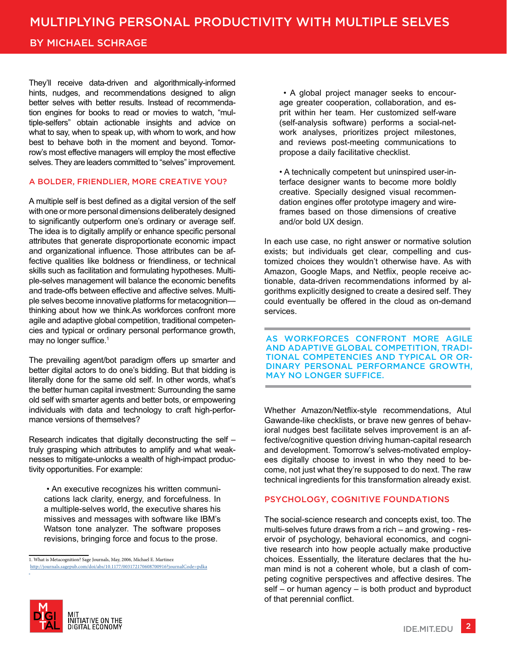## BY MICHAEL SCHRAGE

They'll receive data-driven and algorithmically-informed hints, nudges, and recommendations designed to align better selves with better results. Instead of recommendation engines for books to read or movies to watch, "multiple-selfers" obtain actionable insights and advice on what to say, when to speak up, with whom to work, and how best to behave both in the moment and beyond. Tomorrow's most effective managers will employ the most effective selves. They are leaders committed to "selves" improvement.

## A BOLDER, FRIENDLIER, MORE CREATIVE YOU?

A multiple self is best defined as a digital version of the self with one or more personal dimensions deliberately designed to significantly outperform one's ordinary or average self. The idea is to digitally amplify or enhance specific personal attributes that generate disproportionate economic impact and organizational influence. Those attributes can be affective qualities like boldness or friendliness, or technical skills such as facilitation and formulating hypotheses. Multiple-selves management will balance the economic benefits and trade-offs between effective and affective selves. Multiple selves become innovative platforms for metacognition thinking about how we think.As workforces confront more agile and adaptive global competition, traditional competencies and typical or ordinary personal performance growth, may no longer suffice.<sup>1</sup>

The prevailing agent/bot paradigm offers up smarter and better digital actors to do one's bidding. But that bidding is literally done for the same old self. In other words, what's the better human capital investment: Surrounding the same old self with smarter agents and better bots, or empowering individuals with data and technology to craft high-performance versions of themselves?

Research indicates that digitally deconstructing the self – truly grasping which attributes to amplify and what weaknesses to mitigate-unlocks a wealth of high-impact productivity opportunities. For example:

• An executive recognizes his written communications lack clarity, energy, and forcefulness. In a multiple-selves world, the executive shares his missives and messages with software like IBM's Watson tone analyzer. The software proposes revisions, bringing force and focus to the prose.

1. What is Metacognition? Sage Journals, May, 2006, Michael E. Martinez [http://journals.sagepub.com/doi/abs/10.1177/003172170608700916?journalCode=pdka](http://journals.sagepub.com/doi/abs/10.1177/003172170608700916?journalCode=pdka&)

 • A global project manager seeks to encourage greater cooperation, collaboration, and esprit within her team. Her customized self-ware (self-analysis software) performs a social-network analyses, prioritizes project milestones, and reviews post-meeting communications to propose a daily facilitative checklist.

• A technically competent but uninspired user-interface designer wants to become more boldly creative. Specially designed visual recommendation engines offer prototype imagery and wireframes based on those dimensions of creative and/or bold UX design.

In each use case, no right answer or normative solution exists; but individuals get clear, compelling and customized choices they wouldn't otherwise have. As with Amazon, Google Maps, and Netflix, people receive actionable, data-driven recommendations informed by algorithms explicitly designed to create a desired self. They could eventually be offered in the cloud as on-demand services.

AS WORKFORCES CONFRONT MORE AGILE AND ADAPTIVE GLOBAL COMPETITION, TRADI-TIONAL COMPETENCIES AND TYPICAL OR OR-DINARY PERSONAL PERFORMANCE GROWTH, MAY NO LONGER SUFFICE.

Whether Amazon/Netflix-style recommendations, Atul Gawande-like checklists, or brave new genres of behavioral nudges best facilitate selves improvement is an affective/cognitive question driving human-capital research and development. Tomorrow's selves-motivated employees digitally choose to invest in who they need to become, not just what they're supposed to do next. The raw technical ingredients for this transformation already exist.

## PSYCHOLOGY, COGNITIVE FOUNDATIONS

The social-science research and concepts exist, too. The multi-selves future draws from a rich – and growing - reservoir of psychology, behavioral economics, and cognitive research into how people actually make productive choices. Essentially, the literature declares that the human mind is not a coherent whole, but a clash of competing cognitive perspectives and affective desires. The self – or human agency – is both product and byproduct of that perennial conflict.

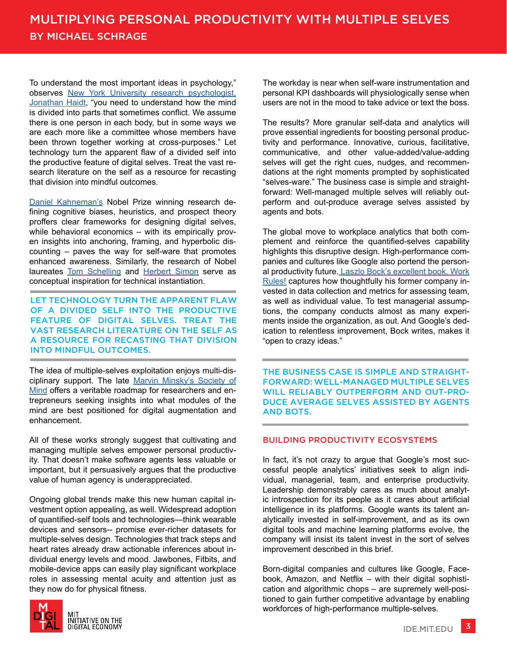To understand the most important ideas in psychology," observes [New York University research psychologist,](http://people.stern.nyu.edu/jhaidt/) [Jonathan Haidt,](http://people.stern.nyu.edu/jhaidt/) "you need to understand how the mind is divided into parts that sometimes conflict. We assume there is one person in each body, but in some ways we are each more like a committee whose members have been thrown together working at cross-purposes." Let technology turn the apparent flaw of a divided self into the productive feature of digital selves. Treat the vast research literature on the self as a resource for recasting that division into mindful outcomes.

[Daniel Kahneman's](https://kahneman.socialpsychology.org/) Nobel Prize winning research defining cognitive biases, heuristics, and prospect theory proffers clear frameworks for designing digital selves, while behavioral economics – with its empirically proven insights into anchoring, framing, and hyperbolic discounting – paves the way for self-ware that promotes enhanced awareness. Similarly, the research of Nobel laureates [Tom Schelling](http://www.nobelprize.org/nobel_prizes/economic-sciences/laureates/2005/schelling-facts.html) and [Herbert Simon](http://www.nobelprize.org/nobel_prizes/economic-sciences/laureates/1978/simon-bio.html) serve as conceptual inspiration for technical instantiation.

LET TECHNOLOGY TURN THE APPARENT FLAW OF A DIVIDED SELF INTO THE PRODUCTIVE FEATURE OF DIGITAL SELVES. TREAT THE VAST RESEARCH LITERATURE ON THE SELF AS A RESOURCE FOR RECASTING THAT DIVISION INTO MINDFUL OUTCOMES.

The idea of multiple-selves exploitation enjoys multi-disciplinary support. The late [Marvin Minsky's Society of](http://www.simonandschuster.com/books/Society-Of-Mind/Marvin-Minsky/9780671657130) [Mind](http://www.simonandschuster.com/books/Society-Of-Mind/Marvin-Minsky/9780671657130) offers a veritable roadmap for researchers and entrepreneurs seeking insights into what modules of the mind are best positioned for digital augmentation and enhancement.

All of these works strongly suggest that cultivating and managing multiple selves empower personal productivity. That doesn't make software agents less valuable or important, but it persuasively argues that the productive value of human agency is underappreciated.

Ongoing global trends make this new human capital investment option appealing, as well. Widespread adoption of quantified-self tools and technologies—think wearable devices and sensors-- promise ever-richer datasets for multiple-selves design. Technologies that track steps and heart rates already draw actionable inferences about individual energy levels and mood. Jawbones, Fitbits, and mobile-device apps can easily play significant workplace roles in assessing mental acuity and attention just as they now do for physical fitness.



The workday is near when self-ware instrumentation and personal KPI dashboards will physiologically sense when users are not in the mood to take advice or text the boss.

The results? More granular self-data and analytics will prove essential ingredients for boosting personal productivity and performance. Innovative, curious, facilitative, communicative, and other value-added/value-adding selves will get the right cues, nudges, and recommendations at the right moments prompted by sophisticated "selves-ware." The business case is simple and straightforward: Well-managed multiple selves will reliably outperform and out-produce average selves assisted by agents and bots.

The global move to workplace analytics that both complement and reinforce the quantified-selves capability highlights this disruptive design. High-performance companies and cultures like Google also portend the personal productivity future[. Laszlo Bock's excellent book, Work](https://www.workrules.net/) [Rules!](https://www.workrules.net/) captures how thoughtfully his former company invested in data collection and metrics for assessing team, as well as individual value. To test managerial assumptions, the company conducts almost as many experiments inside the organization, as out. And Google's dedication to relentless improvement, Bock writes, makes it "open to crazy ideas."

THE BUSINESS CASE IS SIMPLE AND STRAIGHT-FORWARD: WELL-MANAGED MULTIPLE SELVES WILL RELIABLY OUTPERFORM AND OUT-PRO-DUCE AVERAGE SELVES ASSISTED BY AGENTS AND BOTS.

### BUILDING PRODUCTIVITY ECOSYSTEMS

In fact, it's not crazy to argue that Google's most successful people analytics' initiatives seek to align individual, managerial, team, and enterprise productivity. Leadership demonstrably cares as much about analytic introspection for its people as it cares about artificial intelligence in its platforms. Google wants its talent analytically invested in self-improvement, and as its own digital tools and machine learning platforms evolve, the company will insist its talent invest in the sort of selves improvement described in this brief.

Born-digital companies and cultures like Google, Facebook, Amazon, and Netflix – with their digital sophistication and algorithmic chops – are supremely well-positioned to gain further competitive advantage by enabling workforces of high-performance multiple-selves.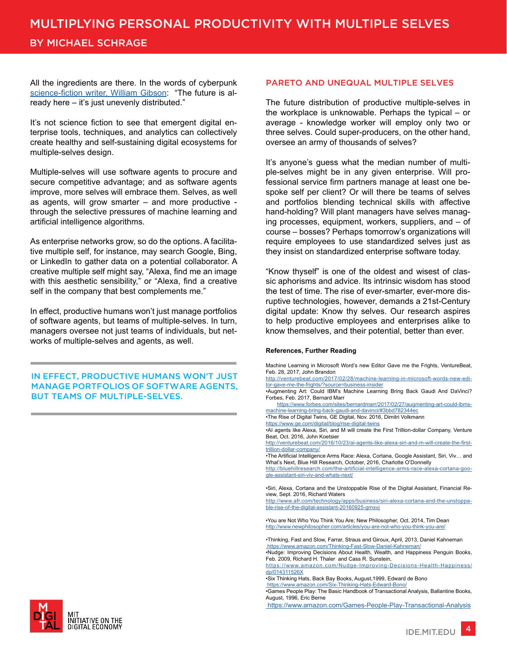# MULTIPLYING PERSONAL PRODUCTIVITY WITH MULTIPLE SELVES

## BY MICHAEL SCHRAGE

All the ingredients are there. In the words of cyberpunk [science-fiction writer, William Gibson](http://www.williamgibsonbooks.com/): "The future is already here – it's just unevenly distributed."

It's not science fiction to see that emergent digital enterprise tools, techniques, and analytics can collectively create healthy and self-sustaining digital ecosystems for multiple-selves design.

Multiple-selves will use software agents to procure and secure competitive advantage; and as software agents improve, more selves will embrace them. Selves, as well as agents, will grow smarter – and more productive through the selective pressures of machine learning and artificial intelligence algorithms.

As enterprise networks grow, so do the options. A facilitative multiple self, for instance, may search Google, Bing, or LinkedIn to gather data on a potential collaborator. A creative multiple self might say, "Alexa, find me an image with this aesthetic sensibility," or "Alexa, find a creative self in the company that best complements me."

In effect, productive humans won't just manage portfolios of software agents, but teams of multiple-selves. In turn, managers oversee not just teams of individuals, but networks of multiple-selves and agents, as well.

IN EFFECT, PRODUCTIVE HUMANS WON'T JUST MANAGE PORTFOLIOS OF SOFTWARE AGENTS, BUT TEAMS OF MULTIPLE-SELVES.

#### average - knowledge worker will employ only two or three selves. Could super-producers, on the other hand,

It's anyone's guess what the median number of multiple-selves might be in any given enterprise. Will professional service firm partners manage at least one bespoke self per client? Or will there be teams of selves and portfolios blending technical skills with affective hand-holding? Will plant managers have selves managing processes, equipment, workers, suppliers, and – of course – bosses? Perhaps tomorrow's organizations will require employees to use standardized selves just as they insist on standardized enterprise software today.

PARETO AND UNEQUAL MULTIPLE SELVES

oversee an army of thousands of selves?

The future distribution of productive multiple-selves in the workplace is unknowable. Perhaps the typical – or

"Know thyself" is one of the oldest and wisest of classic aphorisms and advice. Its intrinsic wisdom has stood the test of time. The rise of ever-smarter, ever-more disruptive technologies, however, demands a 21st-Century digital update: Know thy selves. Our research aspires to help productive employees and enterprises alike to know themselves, and their potential, better than ever.

#### **References, Further Reading**

Machine Learning in Microsoft Word's new Editor Gave me the Frights, VentureBeat, Feb. 28, 2017, John Brandon

[http://venturebeat.com/2017/02/28/machine-learning-in-microsoft-words-new-edi](http://venturebeat.com/2017/02/28/machine-learning-in-microsoft-words-new-editor-gave-me-the-frights/?source=business-insider)[tor-gave-me-the-frights/?source=business-insider](http://venturebeat.com/2017/02/28/machine-learning-in-microsoft-words-new-editor-gave-me-the-frights/?source=business-insider)

•Augmenting Art: Could IBM's Machine Learning Bring Back Gaudi And DaVinci? Forbes, Feb. 2017, Bernard Marr

 [https://www.forbes.com/sites/bernardmarr/2017/02/27/augmenting-art-could-ibms](https://www.forbes.com/forbes/welcome/?toURL=https://www.forbes.com/sites/bernardmarr/2017/02/27/augmenting-art-could-ibms-machine-learning-bring-back-gaudi-and-davinci/&refURL=&referrer=#3bbd782344ec)[machine-learning-bring-back-gaudi-and-davinci/#3bbd782344ec](https://www.forbes.com/forbes/welcome/?toURL=https://www.forbes.com/sites/bernardmarr/2017/02/27/augmenting-art-could-ibms-machine-learning-bring-back-gaudi-and-davinci/&refURL=&referrer=#3bbd782344ec)

•The Rise of Digital Twins, GE Digital, Nov. 2016, Dimitri Volkmann

<https://www.ge.com/digital/blog/rise-digital-twins> •AI agents like Alexa, Siri, and M will create the First Trillion-dollar Company, Venture Beat, Oct. 2016, John Koetsier

[http://venturebeat.com/2016/10/23/ai-agents-like-alexa-siri-and-m-will-create-the-first](http://venturebeat.com/2016/10/23/ai-agents-like-alexa-siri-and-m-will-create-the-first-trillion-dollar-company/)[trillion-dollar-company/](http://venturebeat.com/2016/10/23/ai-agents-like-alexa-siri-and-m-will-create-the-first-trillion-dollar-company/)

•The Artificial Intelligence Arms Race: Alexa, Cortana, Google Assistant, Siri, Viv… and What's Next, Blue Hill Research, October, 2016, Charlotte O'Donnelly

[http://bluehillresearch.com/the-artificial-intelligence-arms-race-alexa-cortana-goo](http://bluehillresearch.com/the-artificial-intelligence-arms-race-alexa-cortana-google-assistant-siri-viv-and-whats-next/)[gle-assistant-siri-viv-and-whats-next/](http://bluehillresearch.com/the-artificial-intelligence-arms-race-alexa-cortana-google-assistant-siri-viv-and-whats-next/)

•Siri, Alexa, Cortana and the Unstoppable Rise of the Digital Assistant, Financial Review, Sept. 2016, Richard Waters

[http://www.afr.com/technology/apps/business/siri-alexa-cortana-and-the-unstoppa](http://www.afr.com/technology/apps/business/siri-alexa-cortana-and-the-unstoppable-rise-of-the-digital-assistant-20160925-grnxvj)[ble-rise-of-the-digital-assistant-20160925-grnxvj](http://www.afr.com/technology/apps/business/siri-alexa-cortana-and-the-unstoppable-rise-of-the-digital-assistant-20160925-grnxvj)

•You are Not Who You Think You Are; New Philosopher, Oct. 2014, Tim Dean <http://www.newphilosopher.com/articles/you-are-not-who-you-think-you-are/>

•Thinking, Fast and Slow, Farrar, Straus and Giroux, April, 2013, Daniel Kahneman  [https://www.amazon.com/Thinking-Fast-Slow-Daniel-Kahneman/](http://www.newphilosopher.com/articles/you-are-not-who-you-think-you-are/)

•Nudge: Improving Decisions About Health, Wealth, and Happiness Penguin Books, Feb. 2009, Richard H. Thaler and Cass R. Sunstein,

[https://www.amazon.com/Nudge-Improving-Decisions-Health-Happiness/](https://www.amazon.com/Nudge-Improving-Decisions-Health-Happiness/dp/014311526X) [dp/014311526X](https://www.amazon.com/Nudge-Improving-Decisions-Health-Happiness/dp/014311526X)

•Six Thinking Hats, Back Bay Books, August,1999, Edward de Bono

 [https://www.amazon.com/Six-Thinking-Hats-Edward-Bono/](https://www.amazon.com/Six-Thinking-Hats-Edward-Bono/dp/0316178314/ref=sr_1_1?ie=UTF8&qid=1488485199&sr=8-1&keywords=six+thinking+hat) •Games People Play: The Basic Handbook of Transactional Analysis, Ballantine Books, August, 1996, Eric Berne

 [https://www.amazon.com/Games-People-Play-Transactional-Analysis](https://www.amazon.com/Games-People-Play-Transactional-Analysis/dp/0345410033/ref=sr_1_1?ie=UTF8&qid=1488485240&sr=8-1&keywords=Games+People+Play%3A+The+Basic+Handbook+of+Transactional+Analysis)